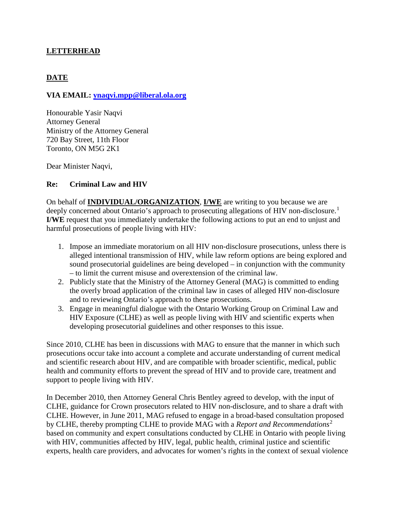### **LETTERHEAD**

# **DATE**

#### **VIA EMAIL: [ynaqvi.mpp@liberal.ola.org](mailto:ynaqvi.mpp@liberal.ola.org)**

Honourable Yasir Naqvi Attorney General Ministry of the Attorney General 720 Bay Street, 11th Floor Toronto, ON M5G 2K1

Dear Minister Naqvi,

#### **Re: Criminal Law and HIV**

On behalf of **INDIVIDUAL/ORGANIZATION**, **I/WE** are writing to you because we are deeply concerned about Ontario's approach to prosecuting allegations of HIV non-disclosure.<sup>[1](#page-2-0)</sup> **I/WE** request that you immediately undertake the following actions to put an end to unjust and harmful prosecutions of people living with HIV:

- 1. Impose an immediate moratorium on all HIV non-disclosure prosecutions, unless there is alleged intentional transmission of HIV, while law reform options are being explored and sound prosecutorial guidelines are being developed – in conjunction with the community – to limit the current misuse and overextension of the criminal law.
- 2. Publicly state that the Ministry of the Attorney General (MAG) is committed to ending the overly broad application of the criminal law in cases of alleged HIV non-disclosure and to reviewing Ontario's approach to these prosecutions.
- 3. Engage in meaningful dialogue with the Ontario Working Group on Criminal Law and HIV Exposure (CLHE) as well as people living with HIV and scientific experts when developing prosecutorial guidelines and other responses to this issue.

Since 2010, CLHE has been in discussions with MAG to ensure that the manner in which such prosecutions occur take into account a complete and accurate understanding of current medical and scientific research about HIV, and are compatible with broader scientific, medical, public health and community efforts to prevent the spread of HIV and to provide care, treatment and support to people living with HIV.

In December 2010, then Attorney General Chris Bentley agreed to develop, with the input of CLHE, guidance for Crown prosecutors related to HIV non-disclosure, and to share a draft with CLHE. However, in June 2011, MAG refused to engage in a broad-based consultation proposed by CLHE, thereby prompting CLHE to provide MAG with a *Report and Recommendations*[2](#page-2-1) based on community and expert consultations conducted by CLHE in Ontario with people living with HIV, communities affected by HIV, legal, public health, criminal justice and scientific experts, health care providers, and advocates for women's rights in the context of sexual violence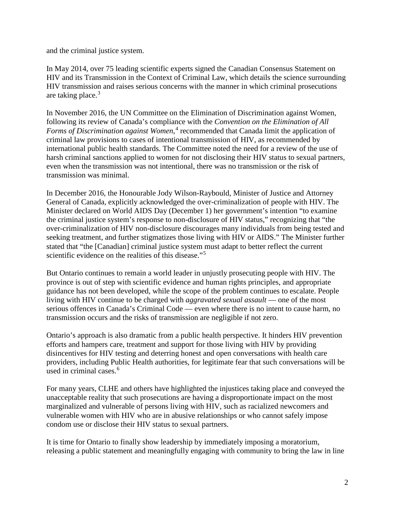and the criminal justice system.

In May 2014, over 75 leading scientific experts signed the Canadian Consensus Statement on HIV and its Transmission in the Context of Criminal Law, which details the science surrounding HIV transmission and raises serious concerns with the manner in which criminal prosecutions are taking place. $3$ 

In November 2016, the UN Committee on the Elimination of Discrimination against Women, following its review of Canada's compliance with the *Convention on the Elimination of All Forms of Discrimination against Women*, [4](#page-2-3) recommended that Canada limit the application of criminal law provisions to cases of intentional transmission of HIV, as recommended by international public health standards. The Committee noted the need for a review of the use of harsh criminal sanctions applied to women for not disclosing their HIV status to sexual partners, even when the transmission was not intentional, there was no transmission or the risk of transmission was minimal.

In December 2016, the Honourable Jody Wilson-Raybould, Minister of Justice and Attorney General of Canada, explicitly acknowledged the over-criminalization of people with HIV. The Minister declared on World AIDS Day (December 1) her government's intention "to examine the criminal justice system's response to non-disclosure of HIV status," recognizing that "the over-criminalization of HIV non-disclosure discourages many individuals from being tested and seeking treatment, and further stigmatizes those living with HIV or AIDS." The Minister further stated that "the [Canadian] criminal justice system must adapt to better reflect the current scientific evidence on the realities of this disease."<sup>[5](#page-2-4)</sup>

But Ontario continues to remain a world leader in unjustly prosecuting people with HIV. The province is out of step with scientific evidence and human rights principles, and appropriate guidance has not been developed, while the scope of the problem continues to escalate. People living with HIV continue to be charged with *aggravated sexual assault* — one of the most serious offences in Canada's Criminal Code — even where there is no intent to cause harm, no transmission occurs and the risks of transmission are negligible if not zero.

Ontario's approach is also dramatic from a public health perspective. It hinders HIV prevention efforts and hampers care, treatment and support for those living with HIV by providing disincentives for HIV testing and deterring honest and open conversations with health care providers, including Public Health authorities, for legitimate fear that such conversations will be used in criminal cases.<sup>[6](#page-2-5)</sup>

For many years, CLHE and others have highlighted the injustices taking place and conveyed the unacceptable reality that such prosecutions are having a disproportionate impact on the most marginalized and vulnerable of persons living with HIV, such as racialized newcomers and vulnerable women with HIV who are in abusive relationships or who cannot safely impose condom use or disclose their HIV status to sexual partners.

It is time for Ontario to finally show leadership by immediately imposing a moratorium, releasing a public statement and meaningfully engaging with community to bring the law in line